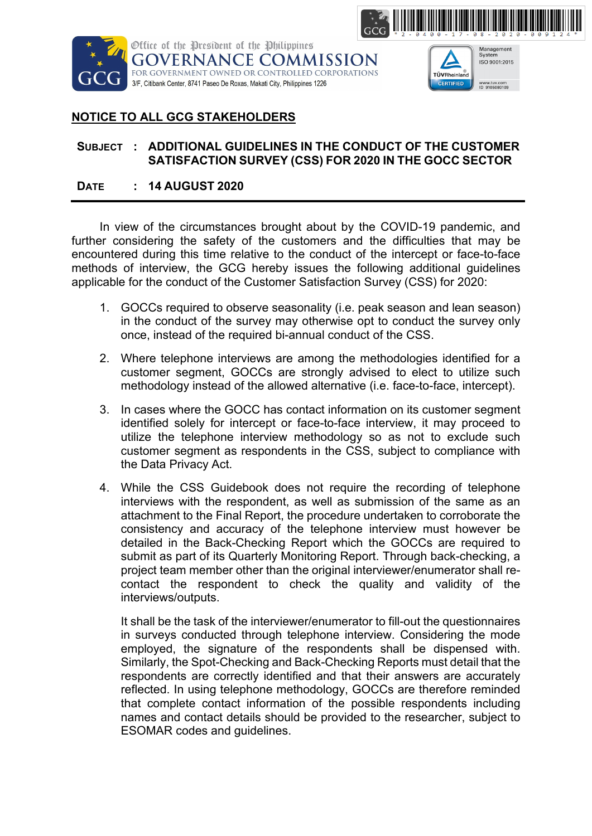



Management<br>System ISO 9001:2015 TÜVRheinland CERTIFIED www.tuv.com<br>ID 9105080109

## **NOTICE TO ALL GCG STAKEHOLDERS**

## **SUBJECT : ADDITIONAL GUIDELINES IN THE CONDUCT OF THE CUSTOMER SATISFACTION SURVEY (CSS) FOR 2020 IN THE GOCC SECTOR**

## **DATE : 14 AUGUST 2020**

In view of the circumstances brought about by the COVID-19 pandemic, and further considering the safety of the customers and the difficulties that may be encountered during this time relative to the conduct of the intercept or face-to-face methods of interview, the GCG hereby issues the following additional guidelines applicable for the conduct of the Customer Satisfaction Survey (CSS) for 2020:

- 1. GOCCs required to observe seasonality (i.e. peak season and lean season) in the conduct of the survey may otherwise opt to conduct the survey only once, instead of the required bi-annual conduct of the CSS.
- 2. Where telephone interviews are among the methodologies identified for a customer segment, GOCCs are strongly advised to elect to utilize such methodology instead of the allowed alternative (i.e. face-to-face, intercept).
- 3. In cases where the GOCC has contact information on its customer segment identified solely for intercept or face-to-face interview, it may proceed to utilize the telephone interview methodology so as not to exclude such customer segment as respondents in the CSS, subject to compliance with the Data Privacy Act.
- 4. While the CSS Guidebook does not require the recording of telephone interviews with the respondent, as well as submission of the same as an attachment to the Final Report, the procedure undertaken to corroborate the consistency and accuracy of the telephone interview must however be detailed in the Back-Checking Report which the GOCCs are required to submit as part of its Quarterly Monitoring Report. Through back-checking, a project team member other than the original interviewer/enumerator shall recontact the respondent to check the quality and validity of the interviews/outputs.

It shall be the task of the interviewer/enumerator to fill-out the questionnaires in surveys conducted through telephone interview. Considering the mode employed, the signature of the respondents shall be dispensed with. Similarly, the Spot-Checking and Back-Checking Reports must detail that the respondents are correctly identified and that their answers are accurately reflected. In using telephone methodology, GOCCs are therefore reminded that complete contact information of the possible respondents including names and contact details should be provided to the researcher, subject to ESOMAR codes and guidelines.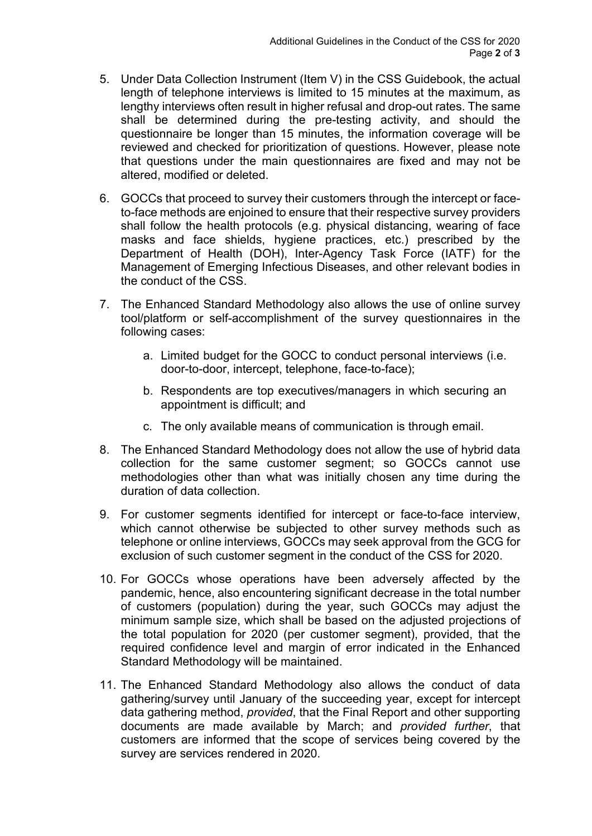- 5. Under Data Collection Instrument (Item V) in the CSS Guidebook, the actual length of telephone interviews is limited to 15 minutes at the maximum, as lengthy interviews often result in higher refusal and drop-out rates. The same shall be determined during the pre-testing activity, and should the questionnaire be longer than 15 minutes, the information coverage will be reviewed and checked for prioritization of questions. However, please note that questions under the main questionnaires are fixed and may not be altered, modified or deleted.
- 6. GOCCs that proceed to survey their customers through the intercept or faceto-face methods are enjoined to ensure that their respective survey providers shall follow the health protocols (e.g. physical distancing, wearing of face masks and face shields, hygiene practices, etc.) prescribed by the Department of Health (DOH), Inter-Agency Task Force (IATF) for the Management of Emerging Infectious Diseases, and other relevant bodies in the conduct of the CSS.
- 7. The Enhanced Standard Methodology also allows the use of online survey tool/platform or self-accomplishment of the survey questionnaires in the following cases:
	- a. Limited budget for the GOCC to conduct personal interviews (i.e. door-to-door, intercept, telephone, face-to-face);
	- b. Respondents are top executives/managers in which securing an appointment is difficult; and
	- c. The only available means of communication is through email.
- 8. The Enhanced Standard Methodology does not allow the use of hybrid data collection for the same customer segment; so GOCCs cannot use methodologies other than what was initially chosen any time during the duration of data collection.
- 9. For customer segments identified for intercept or face-to-face interview, which cannot otherwise be subjected to other survey methods such as telephone or online interviews, GOCCs may seek approval from the GCG for exclusion of such customer segment in the conduct of the CSS for 2020.
- 10. For GOCCs whose operations have been adversely affected by the pandemic, hence, also encountering significant decrease in the total number of customers (population) during the year, such GOCCs may adjust the minimum sample size, which shall be based on the adjusted projections of the total population for 2020 (per customer segment), provided, that the required confidence level and margin of error indicated in the Enhanced Standard Methodology will be maintained.
- 11. The Enhanced Standard Methodology also allows the conduct of data gathering/survey until January of the succeeding year, except for intercept data gathering method, *provided*, that the Final Report and other supporting documents are made available by March; and *provided further*, that customers are informed that the scope of services being covered by the survey are services rendered in 2020.